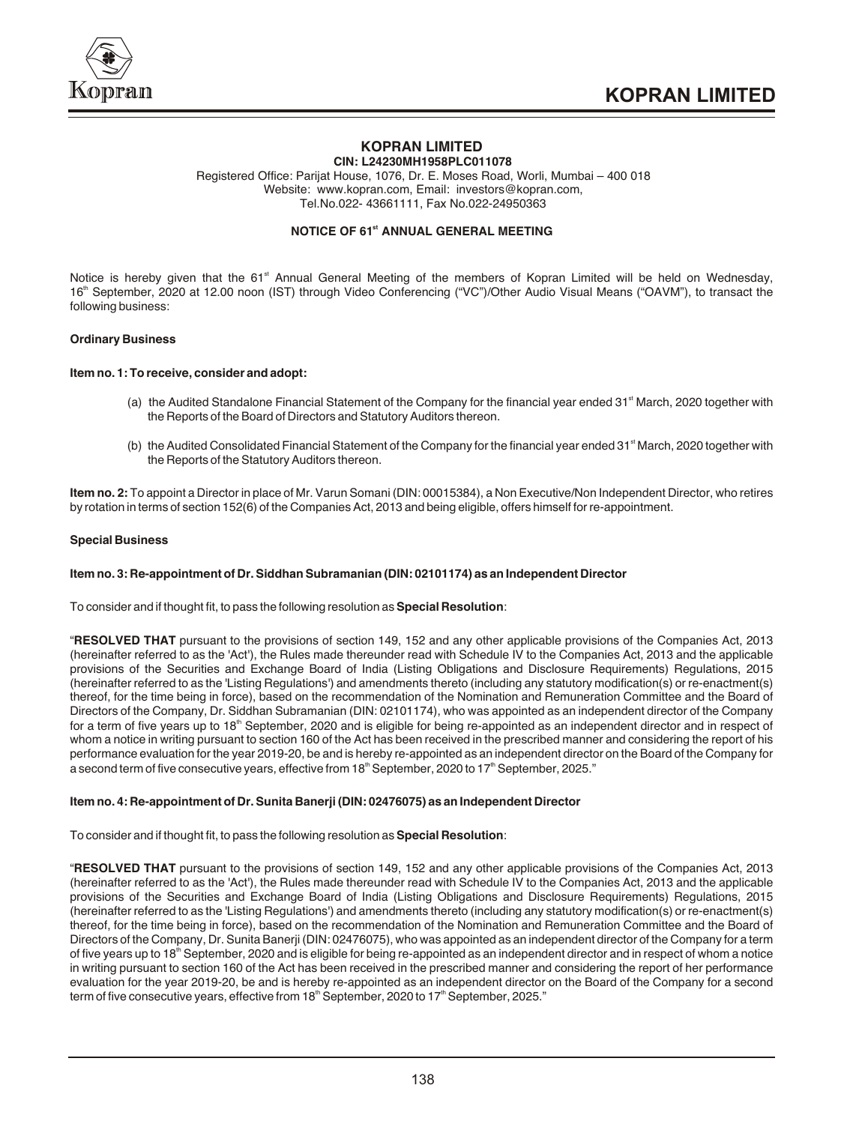

#### **KOPRAN LIMITED CIN: L24230MH1958PLC011078**

Registered Office: Parijat House, 1076, Dr. E. Moses Road, Worli, Mumbai – 400 018 Website: www.kopran.com, Email: investors@kopran.com, Tel.No.022- 43661111, Fax No.022-24950363

# **NOTICE OF 61<sup>st</sup> ANNUAL GENERAL MEETING**

Notice is hereby given that the 61<sup>st</sup> Annual General Meeting of the members of Kopran Limited will be held on Wednesday, 16<sup>th</sup> September, 2020 at 12.00 noon (IST) through Video Conferencing ("VC")/Other Audio Visual Means ("OAVM"), to transact the following business:

## **Ordinary Business**

## **Item no. 1: To receive, consider and adopt:**

- (a) the Audited Standalone Financial Statement of the Company for the financial year ended  $31<sup>st</sup>$  March, 2020 together with the Reports of the Board of Directors and Statutory Auditors thereon.
- (b) the Audited Consolidated Financial Statement of the Company for the financial year ended 31<sup>st</sup> March, 2020 together with the Reports of the Statutory Auditors thereon.

**Item no. 2:** To appoint a Director in place of Mr. Varun Somani (DIN: 00015384), a Non Executive/Non Independent Director, who retires by rotation in terms of section 152(6) of the Companies Act, 2013 and being eligible, offers himself for re-appointment.

## **Special Business**

## **Item no. 3: Re-appointment of Dr. Siddhan Subramanian (DIN: 02101174) as an Independent Director**

To consider and if thought fit, to pass the following resolution as **Special Resolution**:

"**RESOLVED THAT** pursuant to the provisions of section 149, 152 and any other applicable provisions of the Companies Act, 2013 (hereinafter referred to as the 'Act'), the Rules made thereunder read with Schedule IV to the Companies Act, 2013 and the applicable provisions of the Securities and Exchange Board of India (Listing Obligations and Disclosure Requirements) Regulations, 2015 (hereinafter referred to as the 'Listing Regulations') and amendments thereto (including any statutory modification(s) or re-enactment(s) thereof, for the time being in force), based on the recommendation of the Nomination and Remuneration Committee and the Board of Directors of the Company, Dr. Siddhan Subramanian (DIN: 02101174), who was appointed as an independent director of the Company for a term of five years up to 18<sup>th</sup> September, 2020 and is eligible for being re-appointed as an independent director and in respect of whom a notice in writing pursuant to section 160 of the Act has been received in the prescribed manner and considering the report of his performance evaluation for the year 2019-20, be and is hereby re-appointed as an independent director on the Board of the Company for a second term of five consecutive years, effective from 18<sup>th</sup> September, 2020 to 17<sup>th</sup> September, 2025."

## **Item no. 4: Re-appointment of Dr. Sunita Banerji (DIN: 02476075) as an Independent Director**

To consider and if thought fit, to pass the following resolution as **Special Resolution**:

"**RESOLVED THAT** pursuant to the provisions of section 149, 152 and any other applicable provisions of the Companies Act, 2013 (hereinafter referred to as the 'Act'), the Rules made thereunder read with Schedule IV to the Companies Act, 2013 and the applicable provisions of the Securities and Exchange Board of India (Listing Obligations and Disclosure Requirements) Regulations, 2015 (hereinafter referred to as the 'Listing Regulations') and amendments thereto (including any statutory modification(s) or re-enactment(s) thereof, for the time being in force), based on the recommendation of the Nomination and Remuneration Committee and the Board of Directors of the Company, Dr. Sunita Banerji (DIN: 02476075), who was appointed as an independent director of the Company for a term of five years up to 18<sup>th</sup> September, 2020 and is eligible for being re-appointed as an independent director and in respect of whom a notice in writing pursuant to section 160 of the Act has been received in the prescribed manner and considering the report of her performance evaluation for the year 2019-20, be and is hereby re-appointed as an independent director on the Board of the Company for a second term of five consecutive years, effective from  $18<sup>th</sup>$  September, 2020 to  $17<sup>th</sup>$  September, 2025."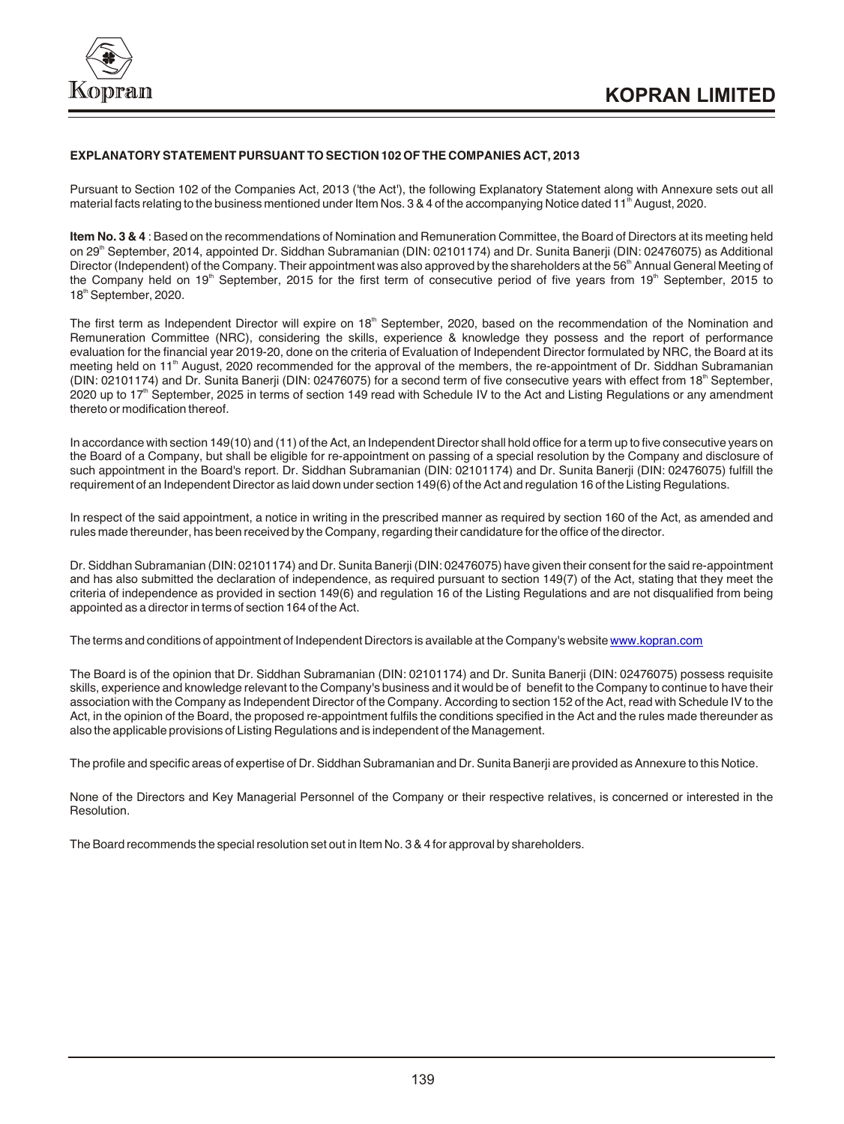

## **EXPLANATORY STATEMENT PURSUANT TO SECTION 102 OF THE COMPANIES ACT, 2013**

Pursuant to Section 102 of the Companies Act, 2013 ('the Act'), the following Explanatory Statement along with Annexure sets out all material facts relating to the business mentioned under Item Nos. 3 & 4 of the accompanying Notice dated 11<sup>th</sup> August, 2020.

**Item No. 3 & 4** : Based on the recommendations of Nomination and Remuneration Committee, the Board of Directors at its meeting held on 29<sup>th</sup> September, 2014, appointed Dr. Siddhan Subramanian (DIN: 02101174) and Dr. Sunita Banerii (DIN: 02476075) as Additional Director (Independent) of the Company. Their appointment was also approved by the shareholders at the 56<sup>th</sup> Annual General Meeting of the Company held on 19<sup>th</sup> September, 2015 for the first term of consecutive period of five years from 19<sup>th</sup> September, 2015 to 18<sup>th</sup> September, 2020.

The first term as Independent Director will expire on 18<sup>th</sup> September, 2020, based on the recommendation of the Nomination and Remuneration Committee (NRC), considering the skills, experience & knowledge they possess and the report of performance evaluation for the financial year 2019-20, done on the criteria of Evaluation of Independent Director formulated by NRC, the Board at its meeting held on 11<sup>th</sup> August, 2020 recommended for the approval of the members, the re-appointment of Dr. Siddhan Subramanian (DIN: 02101174) and Dr. Sunita Banerji (DIN: 02476075) for a second term of five consecutive years with effect from 18<sup>th</sup> September, 2020 up to 17<sup>th</sup> September, 2025 in terms of section 149 read with Schedule IV to the Act and Listing Regulations or any amendment thereto or modification thereof.

In accordance with section 149(10) and (11) of the Act, an Independent Director shall hold office for a term up to five consecutive years on the Board of a Company, but shall be eligible for re-appointment on passing of a special resolution by the Company and disclosure of such appointment in the Board's report. Dr. Siddhan Subramanian (DIN: 02101174) and Dr. Sunita Banerji (DIN: 02476075) fulfill the requirement of an Independent Director as laid down under section 149(6) of the Act and regulation 16 of the Listing Regulations.

In respect of the said appointment, a notice in writing in the prescribed manner as required by section 160 of the Act, as amended and rules made thereunder, has been received by the Company, regarding their candidature for the office of the director.

Dr. Siddhan Subramanian (DIN: 02101174) and Dr. Sunita Banerji (DIN: 02476075) have given their consent for the said re-appointment and has also submitted the declaration of independence, as required pursuant to section 149(7) of the Act, stating that they meet the criteria of independence as provided in section 149(6) and regulation 16 of the Listing Regulations and are not disqualified from being appointed as a director in terms of section 164 of the Act.

The terms and conditions of appointment of Independent Directors is available at the Company's website [www.kopran.com](http://www.kopran.com)

The Board is of the opinion that Dr. Siddhan Subramanian (DIN: 02101174) and Dr. Sunita Banerji (DIN: 02476075) possess requisite skills, experience and knowledge relevant to the Company's business and it would be of benefit to the Company to continue to have their association with the Company as Independent Director of the Company. According to section 152 of the Act, read with Schedule IV to the Act, in the opinion of the Board, the proposed re-appointment fulfils the conditions specified in the Act and the rules made thereunder as also the applicable provisions of Listing Regulations and is independent of the Management.

The profile and specific areas of expertise of Dr. Siddhan Subramanian and Dr. Sunita Banerji are provided as Annexure to this Notice.

None of the Directors and Key Managerial Personnel of the Company or their respective relatives, is concerned or interested in the Resolution.

The Board recommends the special resolution set out in Item No. 3 & 4 for approval by shareholders.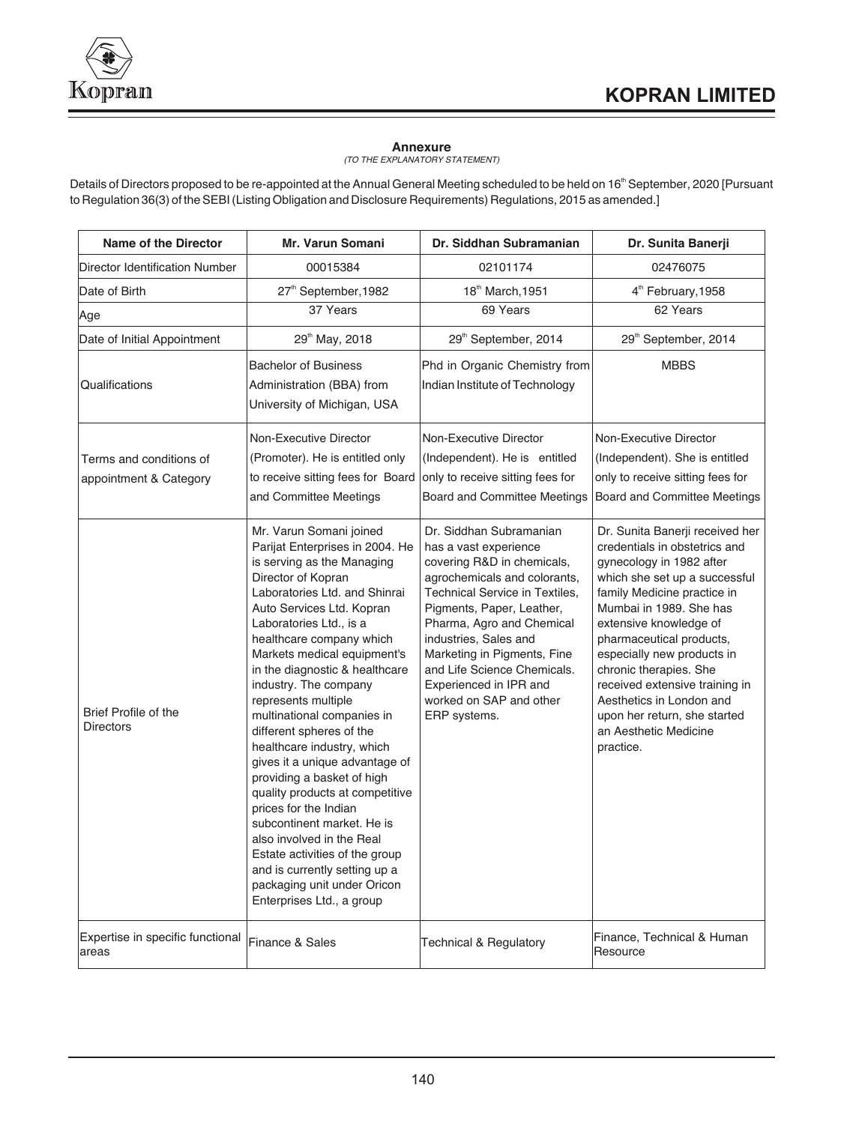**Annexure** *(TO THE EXPLANATORY STATEMENT)*

Details of Directors proposed to be re-appointed at the Annual General Meeting scheduled to be held on 16<sup>th</sup> September, 2020 [Pursuant to Regulation 36(3) of the SEBI (Listing Obligation and Disclosure Requirements) Regulations, 2015 as amended.]

| Name of the Director                              | <b>Mr. Varun Somani</b>                                                                                                                                                                                                                                                                                                                                                                                                                                                                                                                                                                                                                                                                                                                                            | Dr. Siddhan Subramanian                                                                                                                                                                                                                                                                                                                                                | Dr. Sunita Banerji                                                                                                                                                                                                                                                                                                                                                                                                                        |
|---------------------------------------------------|--------------------------------------------------------------------------------------------------------------------------------------------------------------------------------------------------------------------------------------------------------------------------------------------------------------------------------------------------------------------------------------------------------------------------------------------------------------------------------------------------------------------------------------------------------------------------------------------------------------------------------------------------------------------------------------------------------------------------------------------------------------------|------------------------------------------------------------------------------------------------------------------------------------------------------------------------------------------------------------------------------------------------------------------------------------------------------------------------------------------------------------------------|-------------------------------------------------------------------------------------------------------------------------------------------------------------------------------------------------------------------------------------------------------------------------------------------------------------------------------------------------------------------------------------------------------------------------------------------|
| Director Identification Number                    | 00015384                                                                                                                                                                                                                                                                                                                                                                                                                                                                                                                                                                                                                                                                                                                                                           | 02101174                                                                                                                                                                                                                                                                                                                                                               | 02476075                                                                                                                                                                                                                                                                                                                                                                                                                                  |
| Date of Birth                                     | 27 <sup>th</sup> September, 1982                                                                                                                                                                                                                                                                                                                                                                                                                                                                                                                                                                                                                                                                                                                                   | 18th March, 1951                                                                                                                                                                                                                                                                                                                                                       | 4 <sup>th</sup> February, 1958                                                                                                                                                                                                                                                                                                                                                                                                            |
| Age                                               | 37 Years                                                                                                                                                                                                                                                                                                                                                                                                                                                                                                                                                                                                                                                                                                                                                           | 69 Years                                                                                                                                                                                                                                                                                                                                                               | 62 Years                                                                                                                                                                                                                                                                                                                                                                                                                                  |
| Date of Initial Appointment                       | 29 <sup>th</sup> May, 2018                                                                                                                                                                                                                                                                                                                                                                                                                                                                                                                                                                                                                                                                                                                                         | 29 <sup>th</sup> September, 2014                                                                                                                                                                                                                                                                                                                                       | 29 <sup>th</sup> September, 2014                                                                                                                                                                                                                                                                                                                                                                                                          |
| Qualifications                                    | <b>Bachelor of Business</b><br>Administration (BBA) from<br>University of Michigan, USA                                                                                                                                                                                                                                                                                                                                                                                                                                                                                                                                                                                                                                                                            | Phd in Organic Chemistry from<br>Indian Institute of Technology                                                                                                                                                                                                                                                                                                        | <b>MBBS</b>                                                                                                                                                                                                                                                                                                                                                                                                                               |
| Terms and conditions of<br>appointment & Category | Non-Executive Director<br>(Promoter). He is entitled only<br>to receive sitting fees for Board<br>and Committee Meetings                                                                                                                                                                                                                                                                                                                                                                                                                                                                                                                                                                                                                                           | Non-Executive Director<br>(Independent). He is entitled<br>only to receive sitting fees for<br>Board and Committee Meetings                                                                                                                                                                                                                                            | Non-Executive Director<br>(Independent). She is entitled<br>only to receive sitting fees for<br>Board and Committee Meetings                                                                                                                                                                                                                                                                                                              |
| <b>Brief Profile of the</b><br><b>Directors</b>   | Mr. Varun Somani joined<br>Parijat Enterprises in 2004. He<br>is serving as the Managing<br>Director of Kopran<br>Laboratories Ltd. and Shinrai<br>Auto Services Ltd. Kopran<br>Laboratories Ltd., is a<br>healthcare company which<br>Markets medical equipment's<br>in the diagnostic & healthcare<br>industry. The company<br>represents multiple<br>multinational companies in<br>different spheres of the<br>healthcare industry, which<br>gives it a unique advantage of<br>providing a basket of high<br>quality products at competitive<br>prices for the Indian<br>subcontinent market. He is<br>also involved in the Real<br>Estate activities of the group<br>and is currently setting up a<br>packaging unit under Oricon<br>Enterprises Ltd., a group | Dr. Siddhan Subramanian<br>has a vast experience<br>covering R&D in chemicals,<br>agrochemicals and colorants,<br>Technical Service in Textiles,<br>Pigments, Paper, Leather,<br>Pharma, Agro and Chemical<br>industries, Sales and<br>Marketing in Pigments, Fine<br>and Life Science Chemicals.<br>Experienced in IPR and<br>worked on SAP and other<br>ERP systems. | Dr. Sunita Banerji received her<br>credentials in obstetrics and<br>gynecology in 1982 after<br>which she set up a successful<br>family Medicine practice in<br>Mumbai in 1989. She has<br>extensive knowledge of<br>pharmaceutical products,<br>especially new products in<br>chronic therapies. She<br>received extensive training in<br>Aesthetics in London and<br>upon her return, she started<br>an Aesthetic Medicine<br>practice. |
| Expertise in specific functional<br>areas         | Finance & Sales                                                                                                                                                                                                                                                                                                                                                                                                                                                                                                                                                                                                                                                                                                                                                    | <b>Technical &amp; Regulatory</b>                                                                                                                                                                                                                                                                                                                                      | Finance, Technical & Human<br>Resource                                                                                                                                                                                                                                                                                                                                                                                                    |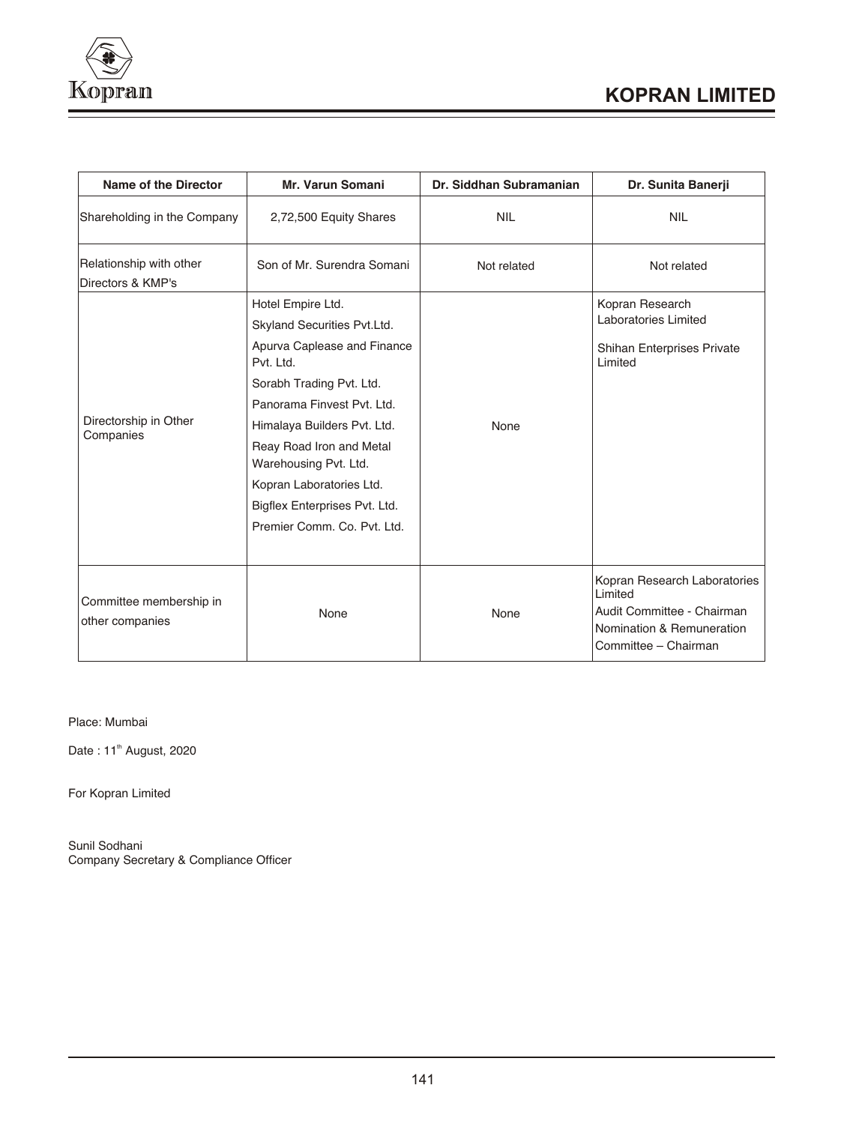

| Name of the Director                         | <b>Mr. Varun Somani</b>                                                                                                                                                                                                                                                                                                                | Dr. Siddhan Subramanian | Dr. Sunita Banerji                                                                                                         |
|----------------------------------------------|----------------------------------------------------------------------------------------------------------------------------------------------------------------------------------------------------------------------------------------------------------------------------------------------------------------------------------------|-------------------------|----------------------------------------------------------------------------------------------------------------------------|
| Shareholding in the Company                  | 2,72,500 Equity Shares                                                                                                                                                                                                                                                                                                                 | <b>NIL</b>              | <b>NIL</b>                                                                                                                 |
| Relationship with other<br>Directors & KMP's | Son of Mr. Surendra Somani                                                                                                                                                                                                                                                                                                             | Not related             | Not related                                                                                                                |
| Directorship in Other<br>Companies           | Hotel Empire Ltd.<br>Skyland Securities Pvt.Ltd.<br>Apurva Caplease and Finance<br>Pvt. Ltd.<br>Sorabh Trading Pvt. Ltd.<br>Panorama Finvest Pvt. Ltd.<br>Himalaya Builders Pvt. Ltd.<br>Reay Road Iron and Metal<br>Warehousing Pvt. Ltd.<br>Kopran Laboratories Ltd.<br>Bigflex Enterprises Pvt. Ltd.<br>Premier Comm. Co. Pvt. Ltd. | None                    | Kopran Research<br>Laboratories Limited<br>Shihan Enterprises Private<br>Limited                                           |
| Committee membership in<br>other companies   | None                                                                                                                                                                                                                                                                                                                                   | None                    | Kopran Research Laboratories<br>Limited<br>Audit Committee - Chairman<br>Nomination & Remuneration<br>Committee - Chairman |

Place: Mumbai

Date : 11<sup>th</sup> August, 2020

For Kopran Limited

Sunil Sodhani Company Secretary & Compliance Officer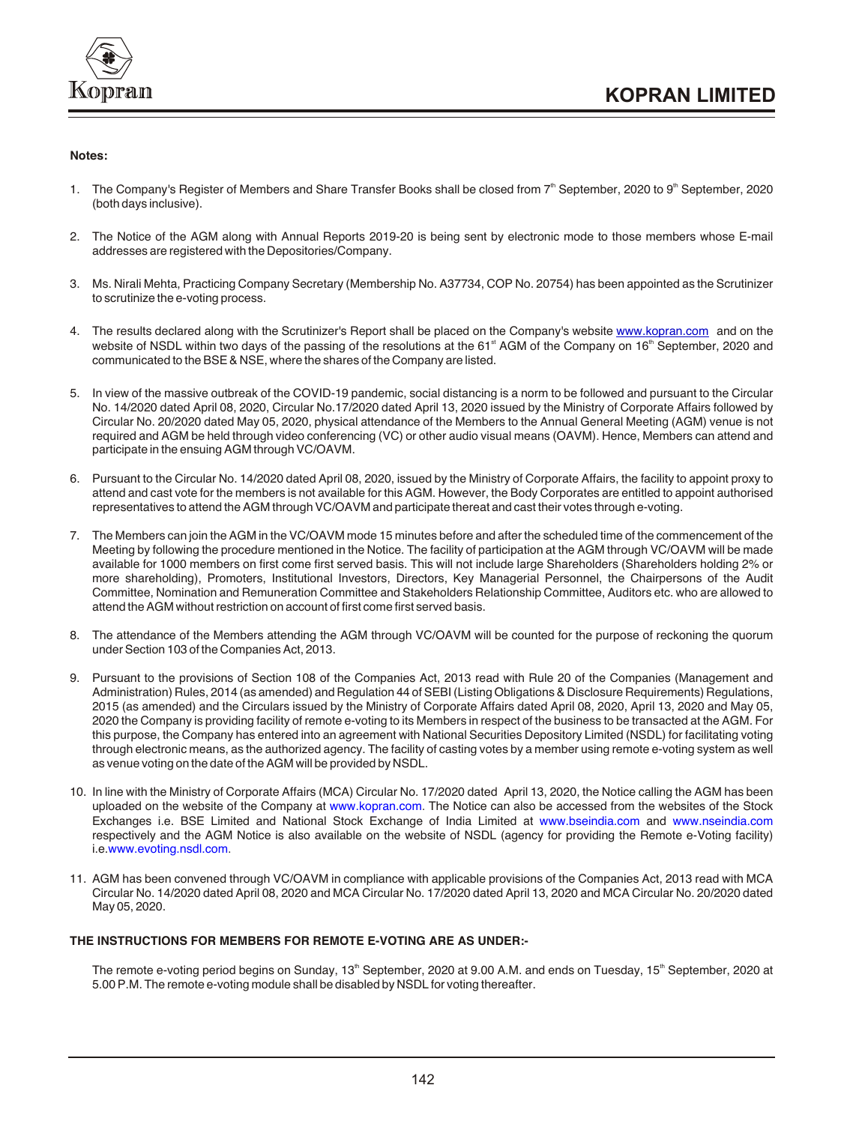

## **Notes:**

- 1. The Company's Register of Members and Share Transfer Books shall be closed from  $7<sup>th</sup>$  September, 2020 to 9<sup>th</sup> September, 2020 (both days inclusive).
- 2. The Notice of the AGM along with Annual Reports 2019-20 is being sent by electronic mode to those members whose E-mail addresses are registered with the Depositories/Company.
- 3. Ms. Nirali Mehta, Practicing Company Secretary (Membership No. A37734, COP No. 20754) has been appointed as the Scrutinizer to scrutinize the e-voting process.
- 4.The results declared along with the Scrutinizer's Report shall be placed on the Company's website www.kopran.com and on the website of NSDL within two days of the passing of the resolutions at the 61<sup>st</sup> AGM of the Company on 16<sup>th</sup> September, 2020 and communicated to the BSE & NSE, where the shares of the Company are listed.
- 5. In view of the massive outbreak of the COVID-19 pandemic, social distancing is a norm to be followed and pursuant to the Circular No. 14/2020 dated April 08, 2020, Circular No.17/2020 dated April 13, 2020 issued by the Ministry of Corporate Affairs followed by Circular No. 20/2020 dated May 05, 2020, physical attendance of the Members to the Annual General Meeting (AGM) venue is not required and AGM be held through video conferencing (VC) or other audio visual means (OAVM). Hence, Members can attend and participate in the ensuing AGM through VC/OAVM.
- 6. Pursuant to the Circular No. 14/2020 dated April 08, 2020, issued by the Ministry of Corporate Affairs, the facility to appoint proxy to attend and cast vote for the members is not available for this AGM. However, the Body Corporates are entitled to appoint authorised representatives to attend the AGM through VC/OAVM and participate thereat and cast their votes through e-voting.
- 7. The Members can join the AGM in the VC/OAVM mode 15 minutes before and after the scheduled time of the commencement of the Meeting by following the procedure mentioned in the Notice. The facility of participation at the AGM through VC/OAVM will be made available for 1000 members on first come first served basis. This will not include large Shareholders (Shareholders holding 2% or more shareholding), Promoters, Institutional Investors, Directors, Key Managerial Personnel, the Chairpersons of the Audit Committee, Nomination and Remuneration Committee and Stakeholders Relationship Committee, Auditors etc. who are allowed to attend the AGM without restriction on account of first come first served basis.
- 8. The attendance of the Members attending the AGM through VC/OAVM will be counted for the purpose of reckoning the quorum under Section 103 of the Companies Act, 2013.
- 9. Pursuant to the provisions of Section 108 of the Companies Act, 2013 read with Rule 20 of the Companies (Management and Administration) Rules, 2014 (as amended) and Regulation 44 of SEBI (Listing Obligations & Disclosure Requirements) Regulations, 2015 (as amended) and the Circulars issued by the Ministry of Corporate Affairs dated April 08, 2020, April 13, 2020 and May 05, 2020 the Company is providing facility of remote e-voting to its Members in respect of the business to be transacted at the AGM. For this purpose, the Company has entered into an agreement with National Securities Depository Limited (NSDL) for facilitating voting through electronic means, as the authorized agency. The facility of casting votes by a member using remote e-voting system as well as venue voting on the date of the AGM will be provided by NSDL.
- 10. In line with the Ministry of Corporate Affairs (MCA) Circular No. 17/2020 dated April 13, 2020, the Notice calling the AGM has been uploaded on the website of the Company at www.kopran.com. The Notice can also be accessed from the websites of the Stock Exchanges i.e. BSE Limited and National Stock Exchange of India Limited at www.bseindia.com and www.nseindia.com respectively and the AGM Notice is also available on the website of NSDL (agency for providing the Remote e-Voting facility) i.e.www.evoting.nsdl.com.
- 11. AGM has been convened through VC/OAVM in compliance with applicable provisions of the Companies Act, 2013 read with MCA Circular No. 14/2020 dated April 08, 2020 and MCA Circular No. 17/2020 dated April 13, 2020 and MCA Circular No. 20/2020 dated May 05, 2020.

## **THE INSTRUCTIONS FOR MEMBERS FOR REMOTE E-VOTING ARE AS UNDER:-**

The remote e-voting period begins on Sunday, 13<sup>th</sup> September, 2020 at 9.00 A.M. and ends on Tuesday, 15<sup>th</sup> September, 2020 at 5.00 P.M. The remote e-voting module shall be disabled by NSDL for voting thereafter.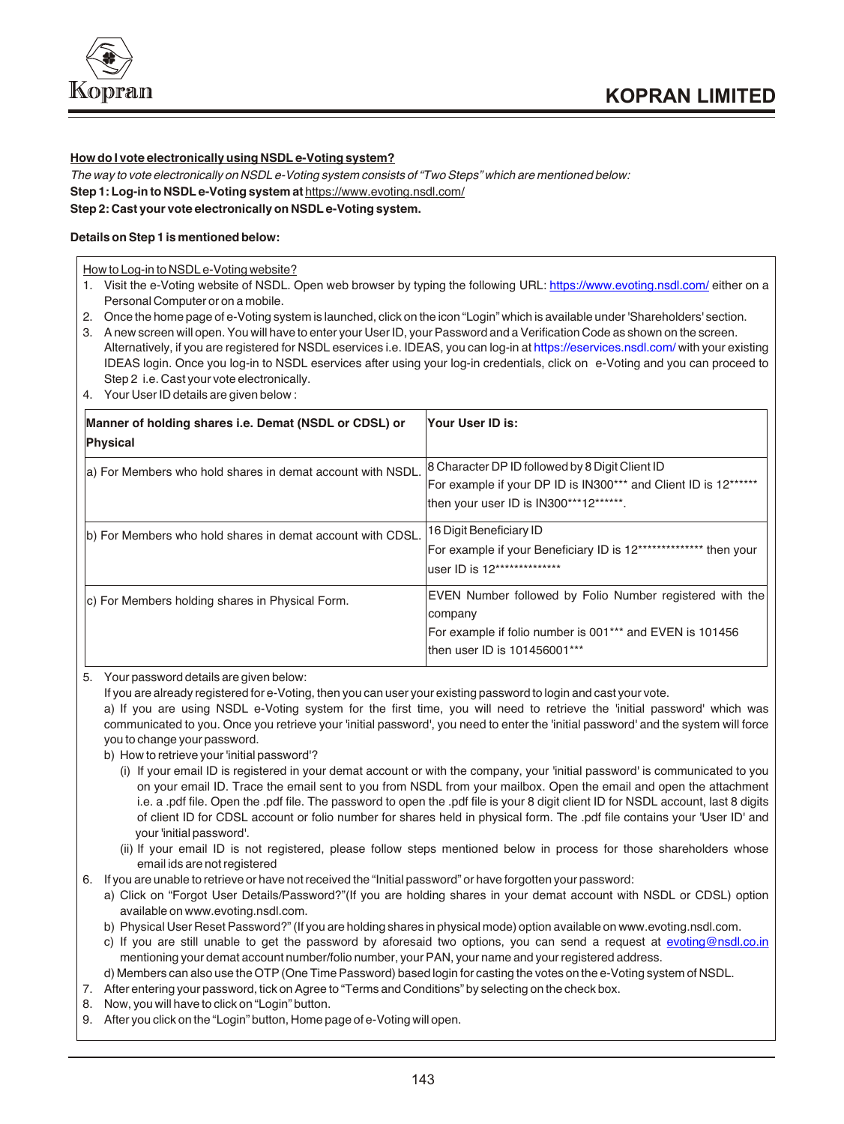

# **How do I vote electronically using NSDL e-Voting system?**

*The way to vote electronically on NSDL e-Voting system consists of "Two Steps" which are mentioned below:* **Step 1: Log-in to NSDL e-Voting system at** https://www.evoting.nsdl.com/ **Step 2: Cast your vote electronically on NSDL e-Voting system.**

## **Details on Step 1 is mentioned below:**

How to Log-in to NSDL e-Voting website?

- 1. Visit the e-Voting website of NSDL. Open web browser by typing the following URL: https://www.evoting.nsdl.com/ either on a Personal Computer or on a mobile.
- 2. Once the home page of e-Voting system is launched, click on the icon "Login" which is available under 'Shareholders' section.
- 3. A new screen will open. You will have to enter your User ID, your Password and a Verification Code as shown on the screen. Alternatively, if you are registered for NSDL eservices i.e. IDEAS, you can log-in at https://eservices.nsdl.com/with your existing IDEAS login. Once you log-in to NSDL eservices after using your log-in credentials, click on e-Voting and you can proceed to Step 2 i.e. Cast your vote electronically.
- 4. Your User ID details are given below :

| Manner of holding shares i.e. Demat (NSDL or CDSL) or<br>Physical | Your User ID is:                                                                                                                                                |
|-------------------------------------------------------------------|-----------------------------------------------------------------------------------------------------------------------------------------------------------------|
| a) For Members who hold shares in demat account with NSDL.        | 8 Character DP ID followed by 8 Digit Client ID<br>For example if your DP ID is IN300*** and Client ID is 12******<br>then your user ID is IN300***12******.    |
| b) For Members who hold shares in demat account with CDSL.        | 16 Digit Beneficiary ID<br>For example if your Beneficiary ID is 12************** then your<br>user ID is 12**************                                      |
| c) For Members holding shares in Physical Form.                   | EVEN Number followed by Folio Number registered with the<br>company<br>For example if folio number is 001*** and EVEN is 101456<br>then user ID is 101456001*** |

5. Your password details are given below:

If you are already registered for e-Voting, then you can user your existing password to login and cast your vote.

a) If you are using NSDL e-Voting system for the first time, you will need to retrieve the 'initial password' which was communicated to you. Once you retrieve your 'initial password', you need to enter the 'initial password' and the system will force you to change your password.

b) How to retrieve your 'initial password'?

- (i) If your email ID is registered in your demat account or with the company, your 'initial password' is communicated to you on your email ID. Trace the email sent to you from NSDL from your mailbox. Open the email and open the attachment i.e. a .pdf file. Open the .pdf file. The password to open the .pdf file is your 8 digit client ID for NSDL account, last 8 digits of client ID for CDSL account or folio number for shares held in physical form. The .pdf file contains your 'User ID' and your 'initial password'.
- (ii) If your email ID is not registered, please follow steps mentioned below in process for those shareholders whose email ids are not registered
- 6. If you are unable to retrieve or have not received the "Initial password" or have forgotten your password:
	- a) Click on "Forgot User Details/Password?"(If you are holding shares in your demat account with NSDL or CDSL) option available on www.evoting.nsdl.com.
	- b) Physical User Reset Password?" (If you are holding shares in physical mode) option available on www.evoting.nsdl.com.
	- c) If you are still unable to get the password by aforesaid two options, you can send a request at evoting@nsdl.co.in mentioning your demat account number/folio number, your PAN, your name and your registered address.

d) Members can also use the OTP (One Time Password) based login for casting the votes on the e-Voting system of NSDL.

- 7. After entering your password, tick on Agree to "Terms and Conditions" by selecting on the check box.
- 8. Now, you will have to click on "Login" button.
- 9. After you click on the "Login" button, Home page of e-Voting will open.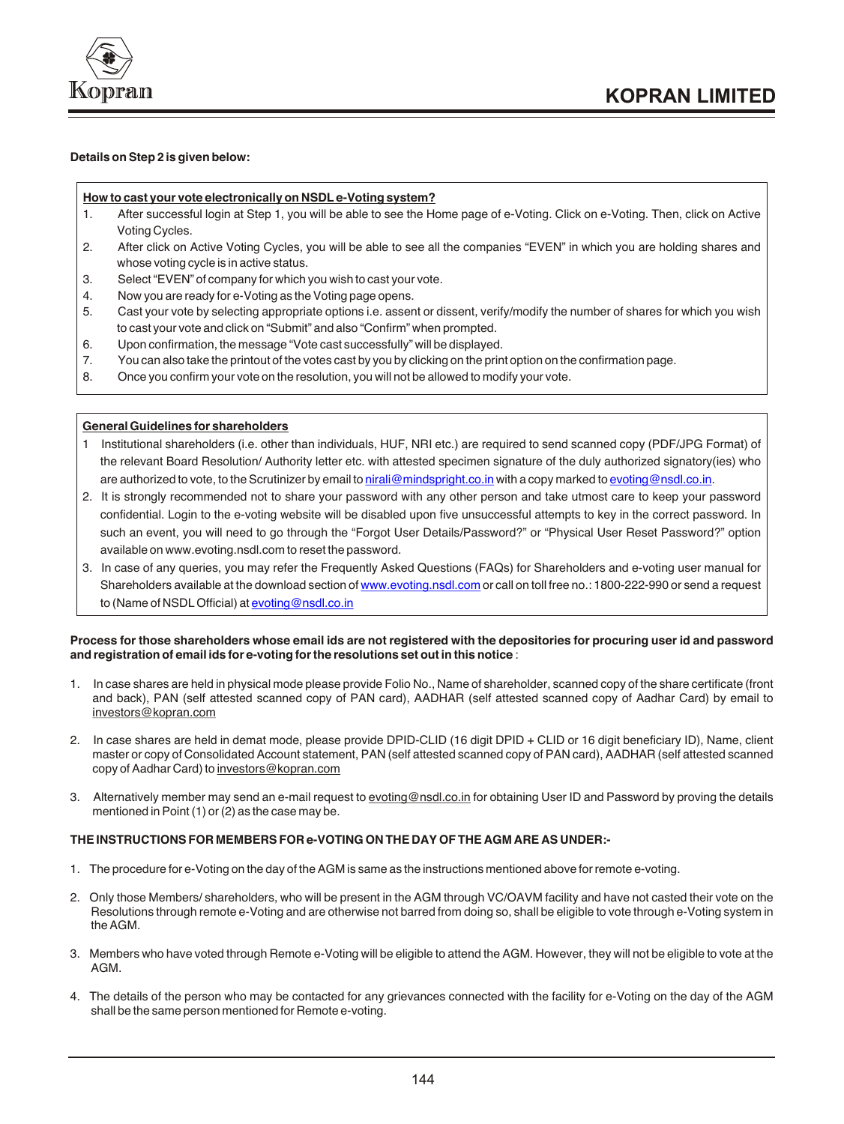

# **Details on Step 2 is given below:**

## **How to cast your vote electronically on NSDL e-Voting system?**

- 1. After successful login at Step 1, you will be able to see the Home page of e-Voting. Click on e-Voting. Then, click on Active Voting Cycles.
- 2. After click on Active Voting Cycles, you will be able to see all the companies "EVEN" in which you are holding shares and whose voting cycle is in active status.
- 3. Select "EVEN" of company for which you wish to cast your vote.
- 4. Now you are ready for e-Voting as the Voting page opens.
- 5. Cast your vote by selecting appropriate options i.e. assent or dissent, verify/modify the number of shares for which you wish to cast your vote and click on "Submit" and also "Confirm" when prompted.
- 6. Upon confirmation, the message "Vote cast successfully" will be displayed.
- 7. You can also take the printout of the votes cast by you by clicking on the print option on the confirmation page.
- 8. Once you confirm your vote on the resolution, you will not be allowed to modify your vote.

#### **General Guidelines for shareholders**

- 1 Institutional shareholders (i.e. other than individuals, HUF, NRI etc.) are required to send scanned copy (PDF/JPG Format) of the relevant Board Resolution/ Authority letter etc. with attested specimen signature of the duly authorized signatory(ies) who are authorized to vote, to the Scrutinizer by email to <u>nirali@mindspright.co.in</u> with a copy marked to <u>evoting@nsdl.co.in</u>.
- 2. It is strongly recommended not to share your password with any other person and take utmost care to keep your password confidential. Login to the e-voting website will be disabled upon five unsuccessful attempts to key in the correct password. In such an event, you will need to go through the "Forgot User Details/Password?" or "Physical User Reset Password?" option available on www.evoting.nsdl.com to reset the password.
- 3. In case of any queries, you may refer the Frequently Asked Questions (FAQs) for Shareholders and e-voting user manual for Shareholders available at the download section of www.evoting.nsdl.com or call on toll free no.: 1800-222-990 or send a request to (Name of NSDL Official) at **evoting@nsdl.co.in**

## **Process for those shareholders whose email ids are not registered with the depositories for procuring user id and password and registration of email ids for e-voting for the resolutions set out in this notice** :

- 1. In case shares are held in physical mode please provide Folio No., Name of shareholder, scanned copy of the share certificate (front and back), PAN (self attested scanned copy of PAN card), AADHAR (self attested scanned copy of Aadhar Card) by email to investors@kopran.com
- 2. In case shares are held in demat mode, please provide DPID-CLID (16 digit DPID + CLID or 16 digit beneficiary ID), Name, client master or copy of Consolidated Account statement, PAN (self attested scanned copy of PAN card), AADHAR (self attested scanned copy of Aadhar Card) to investors@kopran.com
- 3. Alternatively member may send an e-mail request to evoting@nsdl.co.in for obtaining User ID and Password by proving the details mentioned in Point (1) or (2) as the case may be.

# **THE INSTRUCTIONS FOR MEMBERS FOR e-VOTING ON THE DAY OF THE AGM ARE AS UNDER:-**

- 1. The procedure for e-Voting on the day of the AGM is same as the instructions mentioned above for remote e-voting.
- 2. Only those Members/ shareholders, who will be present in the AGM through VC/OAVM facility and have not casted their vote on the Resolutions through remote e-Voting and are otherwise not barred from doing so, shall be eligible to vote through e-Voting system in the AGM.
- 3. Members who have voted through Remote e-Voting will be eligible to attend the AGM. However, they will not be eligible to vote at the AGM.
- 4. The details of the person who may be contacted for any grievances connected with the facility for e-Voting on the day of the AGM shall be the same person mentioned for Remote e-voting.